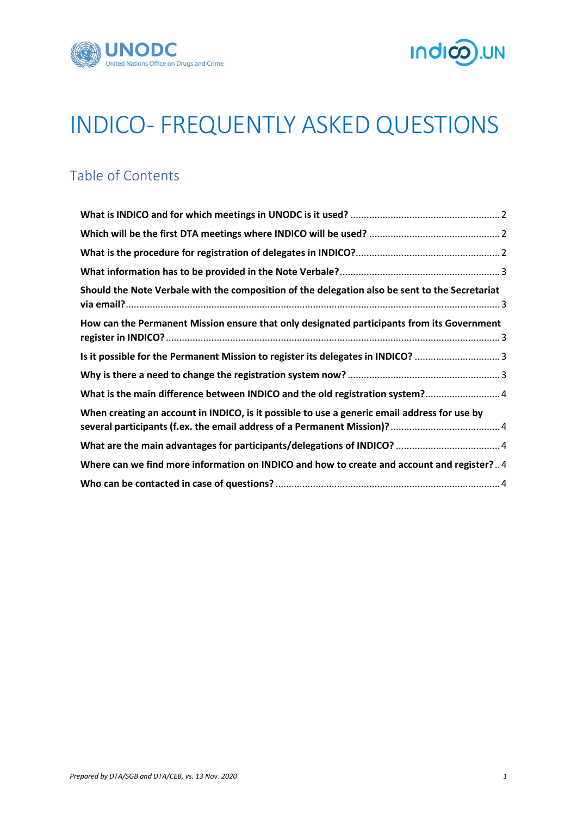



# INDICO- FREQUENTLY ASKED QUESTIONS

# Table of Contents

| Should the Note Verbale with the composition of the delegation also be sent to the Secretariat |  |
|------------------------------------------------------------------------------------------------|--|
| How can the Permanent Mission ensure that only designated participants from its Government     |  |
| Is it possible for the Permanent Mission to register its delegates in INDICO? 3                |  |
|                                                                                                |  |
| What is the main difference between INDICO and the old registration system? 4                  |  |
| When creating an account in INDICO, is it possible to use a generic email address for use by   |  |
|                                                                                                |  |
| Where can we find more information on INDICO and how to create and account and register?4      |  |
|                                                                                                |  |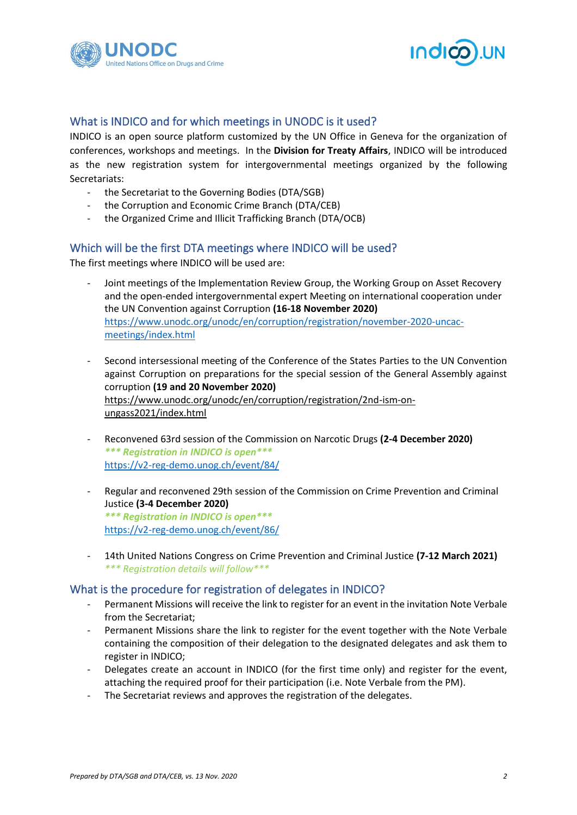



#### <span id="page-1-0"></span>What is INDICO and for which meetings in UNODC is it used?

INDICO is an open source platform customized by the UN Office in Geneva for the organization of conferences, workshops and meetings. In the **Division for Treaty Affairs**, INDICO will be introduced as the new registration system for intergovernmental meetings organized by the following Secretariats:

- the Secretariat to the Governing Bodies (DTA/SGB)
- the Corruption and Economic Crime Branch (DTA/CEB)
- the Organized Crime and Illicit Trafficking Branch (DTA/OCB)

#### <span id="page-1-1"></span>Which will be the first DTA meetings where INDICO will be used?

The first meetings where INDICO will be used are:

- Joint meetings of the Implementation Review Group, the Working Group on Asset Recovery and the open-ended intergovernmental expert Meeting on international cooperation under the UN Convention against Corruption **(16-18 November 2020)** [https://www.unodc.org/unodc/en/corruption/registration/november-2020-uncac](https://www.unodc.org/unodc/en/corruption/registration/november-2020-uncac-meetings/index.html)[meetings/index.html](https://www.unodc.org/unodc/en/corruption/registration/november-2020-uncac-meetings/index.html)
- Second intersessional meeting of the Conference of the States Parties to the UN Convention against Corruption on preparations for the special session of the General Assembly against corruption **(19 and 20 November 2020)** [https://www.unodc.org/unodc/en/corruption/registration/2nd-ism-on](https://www.unodc.org/unodc/en/corruption/registration/2nd-ism-on-ungass2021/index.html)[ungass2021/index.html](https://www.unodc.org/unodc/en/corruption/registration/2nd-ism-on-ungass2021/index.html)
- Reconvened 63rd session of the Commission on Narcotic Drugs **(2-4 December 2020)** *\*\*\* Registration in INDICO is open\*\*\** <https://v2-reg-demo.unog.ch/event/84/>
- Regular and reconvened 29th session of the Commission on Crime Prevention and Criminal Justice **(3-4 December 2020)** *\*\*\* Registration in INDICO is open\*\*\** <https://v2-reg-demo.unog.ch/event/86/>
- 14th United Nations Congress on Crime Prevention and Criminal Justice **(7-12 March 2021)** *\*\*\* Registration details will follow\*\*\**

#### <span id="page-1-2"></span>What is the procedure for registration of delegates in INDICO?

- Permanent Missions will receive the link to register for an event in the invitation Note Verbale from the Secretariat;
- Permanent Missions share the link to register for the event together with the Note Verbale containing the composition of their delegation to the designated delegates and ask them to register in INDICO;
- Delegates create an account in INDICO (for the first time only) and register for the event, attaching the required proof for their participation (i.e. Note Verbale from the PM).
- The Secretariat reviews and approves the registration of the delegates.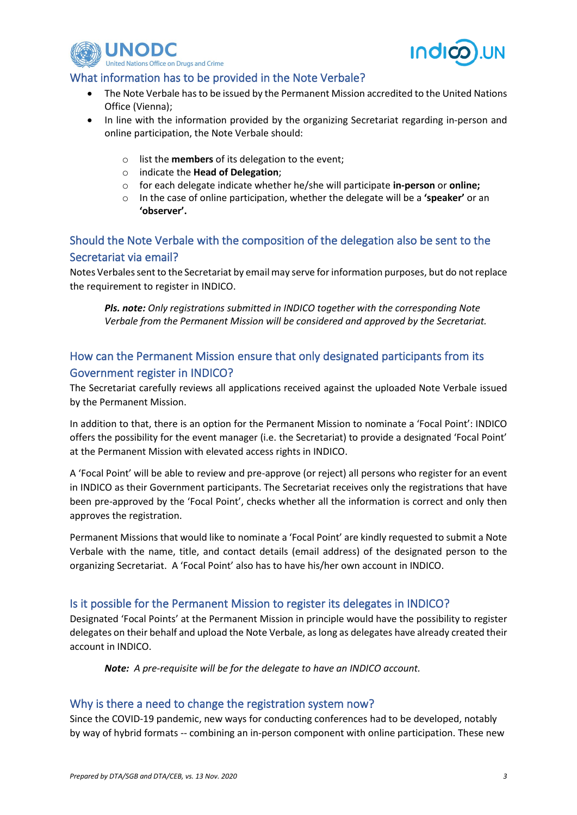



#### <span id="page-2-0"></span>What information has to be provided in the Note Verbale?

- The Note Verbale has to be issued by the Permanent Mission accredited to the United Nations Office (Vienna);
- In line with the information provided by the organizing Secretariat regarding in-person and online participation, the Note Verbale should:
	- o list the **members** of its delegation to the event;
	- o indicate the **Head of Delegation**;
	- o for each delegate indicate whether he/she will participate **in-person** or **online;**
	- o In the case of online participation, whether the delegate will be a **'speaker'** or an **'observer'.**

# <span id="page-2-1"></span>Should the Note Verbale with the composition of the delegation also be sent to the Secretariat via email?

Notes Verbales sent to the Secretariat by email may serve for information purposes, but do not replace the requirement to register in INDICO.

*Pls. note: Only registrations submitted in INDICO together with the corresponding Note Verbale from the Permanent Mission will be considered and approved by the Secretariat.* 

# <span id="page-2-2"></span>How can the Permanent Mission ensure that only designated participants from its Government register in INDICO?

The Secretariat carefully reviews all applications received against the uploaded Note Verbale issued by the Permanent Mission.

In addition to that, there is an option for the Permanent Mission to nominate a 'Focal Point': INDICO offers the possibility for the event manager (i.e. the Secretariat) to provide a designated 'Focal Point' at the Permanent Mission with elevated access rights in INDICO.

A 'Focal Point' will be able to review and pre-approve (or reject) all persons who register for an event in INDICO as their Government participants. The Secretariat receives only the registrations that have been pre-approved by the 'Focal Point', checks whether all the information is correct and only then approves the registration.

Permanent Missions that would like to nominate a 'Focal Point' are kindly requested to submit a Note Verbale with the name, title, and contact details (email address) of the designated person to the organizing Secretariat. A 'Focal Point' also has to have his/her own account in INDICO.

#### <span id="page-2-3"></span>Is it possible for the Permanent Mission to register its delegates in INDICO?

Designated 'Focal Points' at the Permanent Mission in principle would have the possibility to register delegates on their behalf and upload the Note Verbale, as long as delegates have already created their account in INDICO.

*Note: A pre-requisite will be for the delegate to have an INDICO account.*

#### <span id="page-2-4"></span>Why is there a need to change the registration system now?

Since the COVID-19 pandemic, new ways for conducting conferences had to be developed, notably by way of hybrid formats -- combining an in-person component with online participation. These new